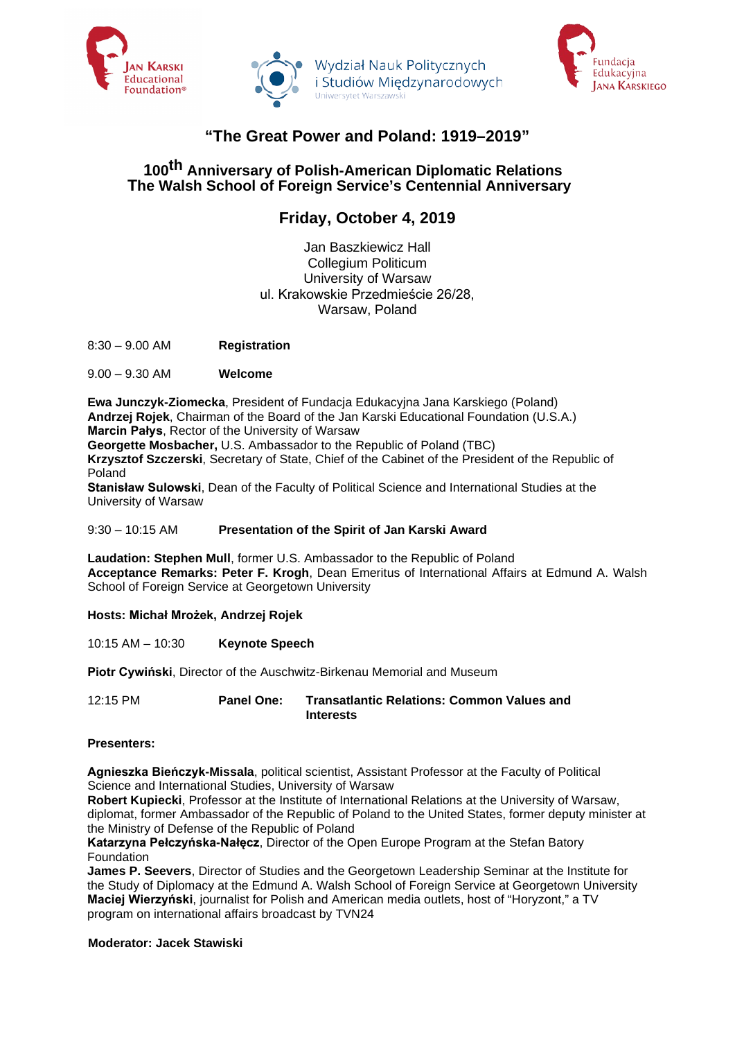





# **"The Great Power and Poland: 1919–2019"**

### **100th Anniversary of Polish-American Diplomatic Relations The Walsh School of Foreign Service's Centennial Anniversary**

## **Friday, October 4, 2019**

Jan Baszkiewicz Hall Collegium Politicum University of Warsaw ul. Krakowskie Przedmieście 26/28, Warsaw, Poland

8:30 – 9.00 AM **Registration**

9.00 – 9.30 AM **Welcome**

**Ewa Junczyk-Ziomecka**, President of Fundacja Edukacyjna Jana Karskiego (Poland) **Andrzej Rojek**, Chairman of the Board of the Jan Karski Educational Foundation (U.S.A.) **Marcin Pałys**, Rector of the University of Warsaw **Georgette Mosbacher,** U.S. Ambassador to the Republic of Poland (TBC)

**Krzysztof Szczerski**, Secretary of State, Chief of the Cabinet of the President of the Republic of Poland

**Stanisław Sulowski**, Dean of the Faculty of Political Science and International Studies at the University of Warsaw

9:30 – 10:15 AM **Presentation of the Spirit of Jan Karski Award**

**Laudation: Stephen Mull**, former U.S. Ambassador to the Republic of Poland **Acceptance Remarks: Peter F. Krogh**, Dean Emeritus of International Affairs at Edmund A. Walsh School of Foreign Service at Georgetown University

**Hosts: Michał Mrożek, Andrzej Rojek**

10:15 AM – 10:30 **Keynote Speech**

**Piotr Cywiński**, Director of the Auschwitz-Birkenau Memorial and Museum

12:15 PM **Panel One: Transatlantic Relations: Common Values and Interests**

**Presenters:**

**Agnieszka Bieńczyk-Missala**, political scientist, Assistant Professor at the Faculty of Political Science and International Studies, University of Warsaw

**Robert Kupiecki**, Professor at the Institute of International Relations at the University of Warsaw, diplomat, former Ambassador of the Republic of Poland to the United States, former deputy minister at the Ministry of Defense of the Republic of Poland

**Katarzyna Pełczyńska-Nałęcz**, Director of the Open Europe Program at the Stefan Batory **Foundation** 

**James P. Seevers**, Director of Studies and the Georgetown Leadership Seminar at the Institute for the Study of Diplomacy at the Edmund A. Walsh School of Foreign Service at Georgetown University **Maciej Wierzyński**, journalist for Polish and American media outlets, host of "Horyzont," a TV program on international affairs broadcast by TVN24

**Moderator: Jacek Stawiski**